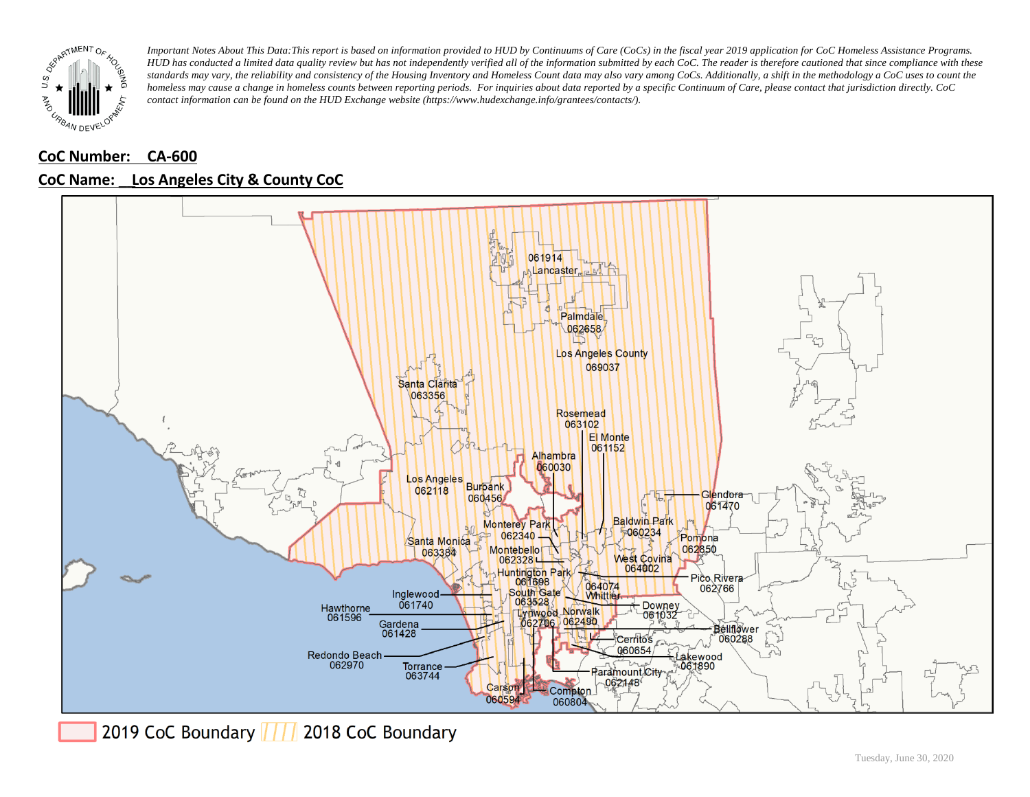

## **CoC Number: CA-600**



### **CoC Name: \_\_ Los Angeles City & County CoC**

2019 CoC Boundary | | | 2018 CoC Boundary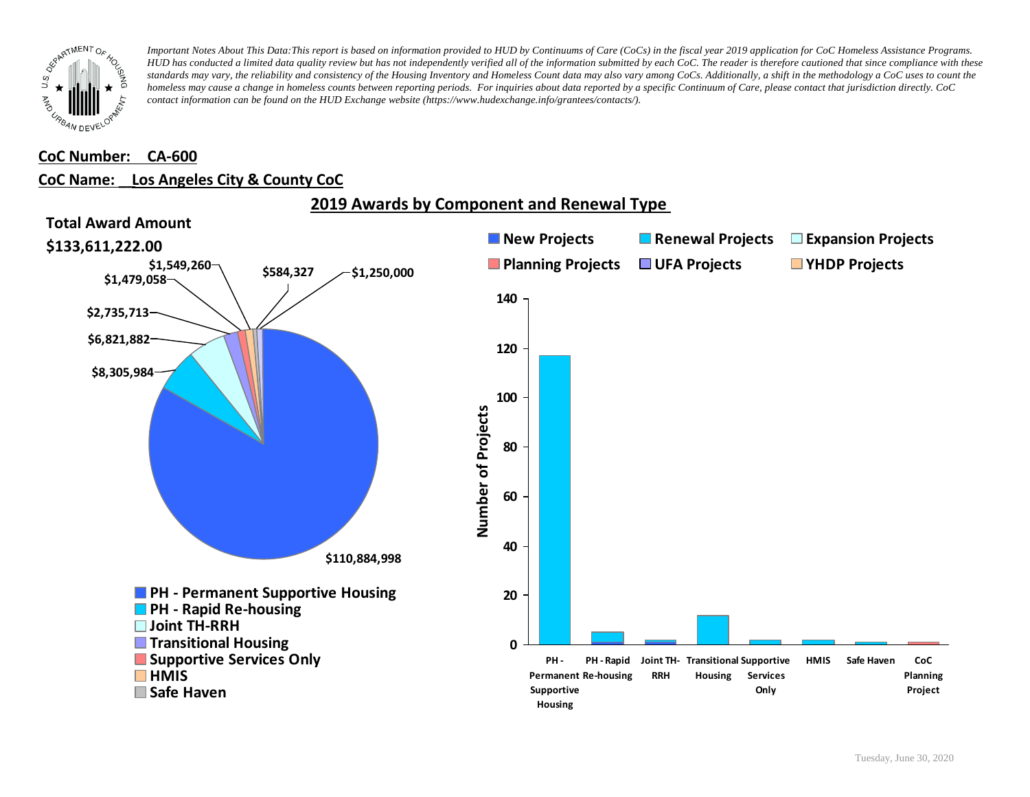

### **CoC Number: CA-600**

### **CoC Name: \_\_ Los Angeles City & County CoC**



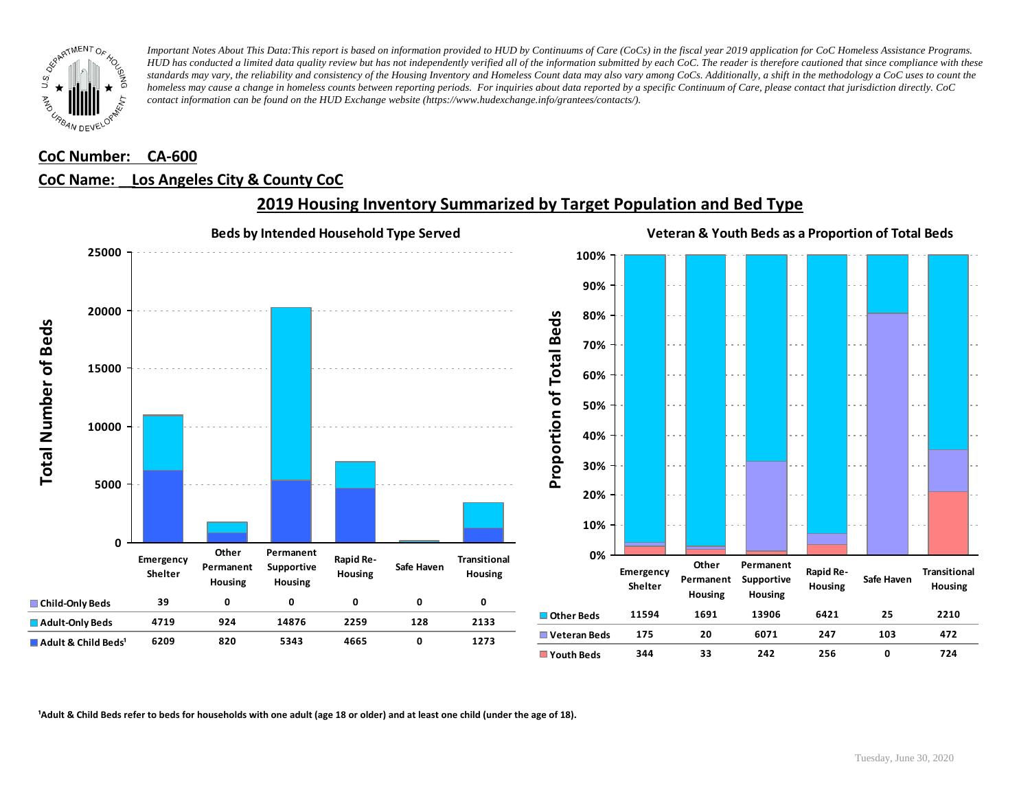

### **CoC Number: CA-600**

### **CoC Name: \_\_ Los Angeles City & County CoC**



## **2019 Housing Inventory Summarized by Target Population and Bed Type**

<sup>1</sup> Adult & Child Beds refer to beds for households with one adult (age 18 or older) and at least one child (under the age of 18).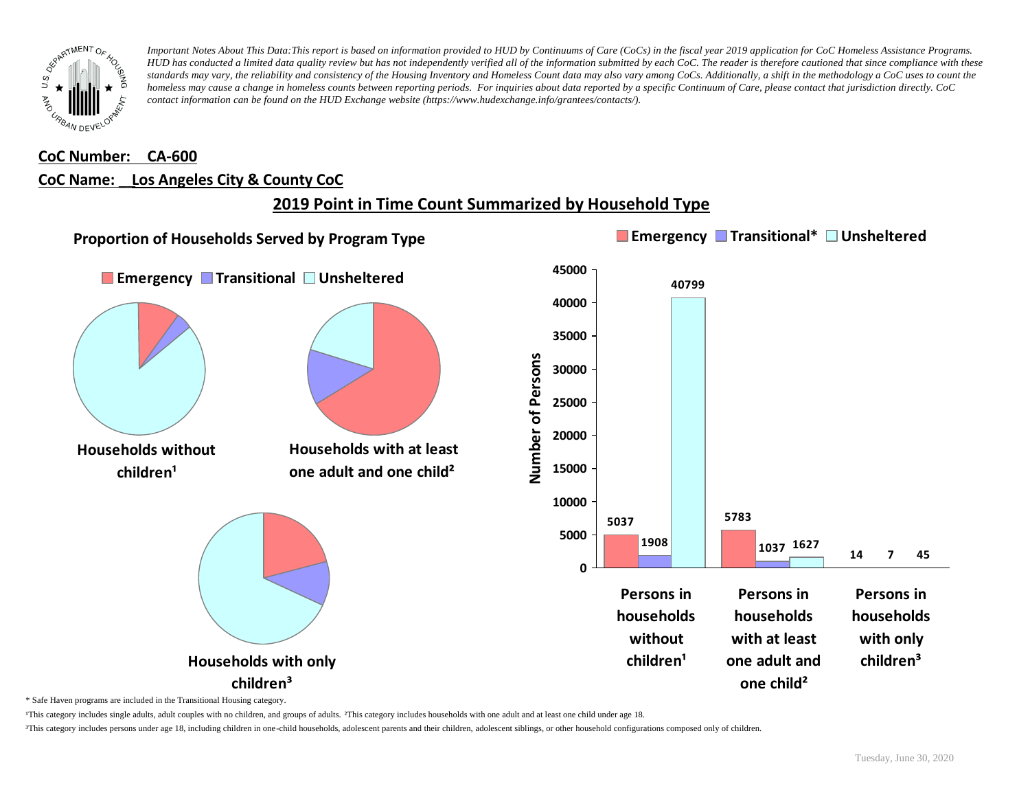

## **CoC Number: CA-600 CoC Name: \_\_ Los Angeles City & County CoC**

## **2019 Point in Time Count Summarized by Household Type**



\* Safe Haven programs are included in the Transitional Housing category.

¹This category includes single adults, adult couples with no children, and groups of adults. ²This category includes households with one adult and at least one child under age 18.

³This category includes persons under age 18, including children in one-child households, adolescent parents and their children, adolescent siblings, or other household configurations composed only of children.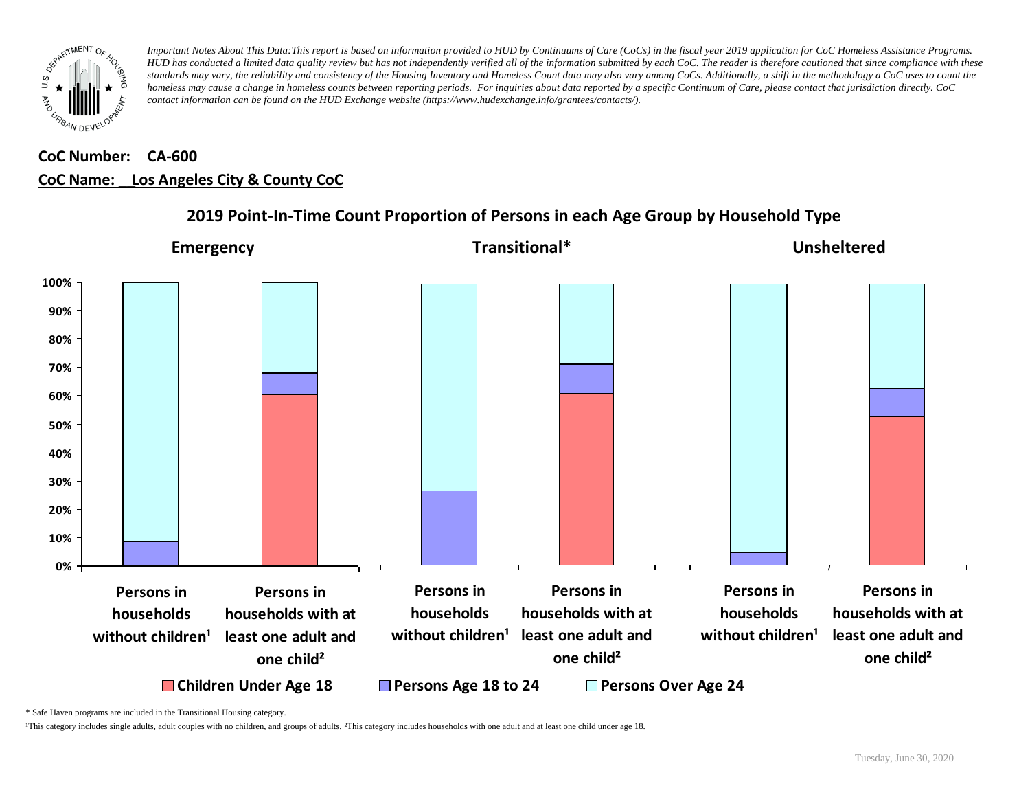

## **CoC Number: CA-600 CoC Name: \_\_ Los Angeles City & County CoC**



## **2019 Point-In-Time Count Proportion of Persons in each Age Group by Household Type**

\* Safe Haven programs are included in the Transitional Housing category.

¹This category includes single adults, adult couples with no children, and groups of adults. ²This category includes households with one adult and at least one child under age 18.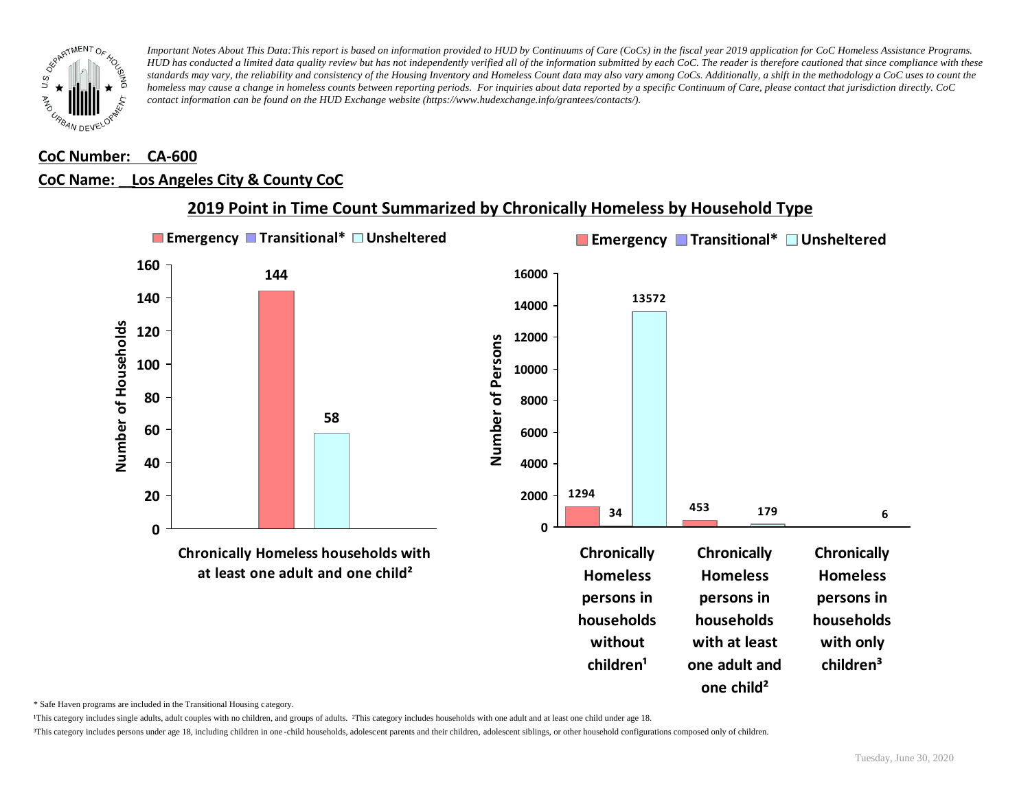

# **CoC Number: CA-600**

### **CoC Name: \_\_ Los Angeles City & County CoC**



### **2019 Point in Time Count Summarized by Chronically Homeless by Household Type**

\* Safe Haven programs are included in the Transitional Housing category.

¹This category includes single adults, adult couples with no children, and groups of adults. ²This category includes households with one adult and at least one child under age 18.

³This category includes persons under age 18, including children in one -child households, adolescent parents and their children, adolescent siblings, or other household configurations composed only of children.